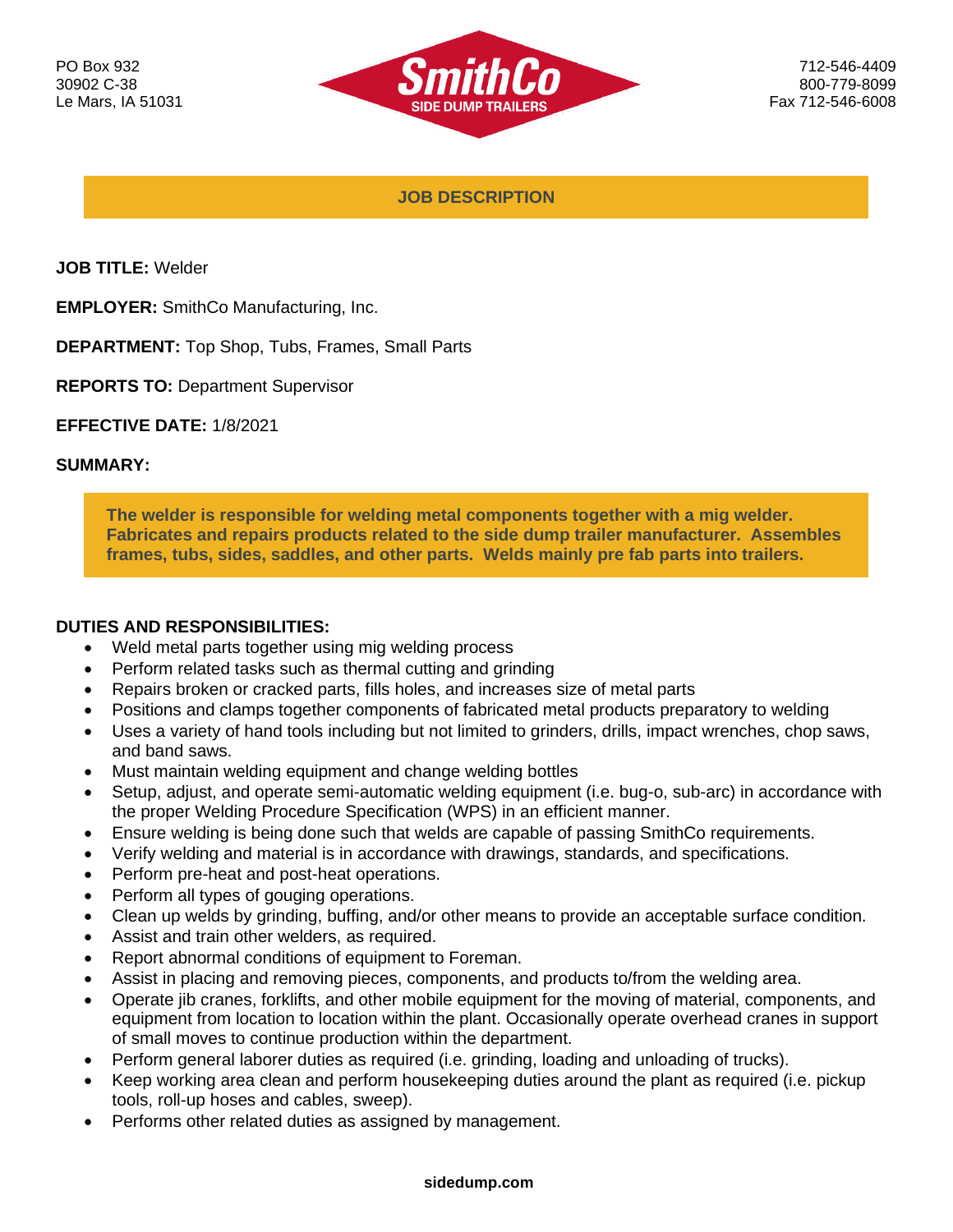

712-546-4409 800-779-8099 Fax 712-546-6008

**JOB DESCRIPTION**

**JOB TITLE:** Welder

**EMPLOYER:** SmithCo Manufacturing, Inc.

**DEPARTMENT:** Top Shop, Tubs, Frames, Small Parts

**REPORTS TO:** Department Supervisor

**EFFECTIVE DATE:** 1/8/2021

### **SUMMARY:**

**The welder is responsible for welding metal components together with a mig welder. Fabricates and repairs products related to the side dump trailer manufacturer. Assembles frames, tubs, sides, saddles, and other parts. Welds mainly pre fab parts into trailers.**

### **DUTIES AND RESPONSIBILITIES:**

- Weld metal parts together using mig welding process
- Perform related tasks such as thermal cutting and grinding
- Repairs broken or cracked parts, fills holes, and increases size of metal parts
- Positions and clamps together components of fabricated metal products preparatory to welding
- Uses a variety of hand tools including but not limited to grinders, drills, impact wrenches, chop saws, and band saws.
- Must maintain welding equipment and change welding bottles
- Setup, adjust, and operate semi-automatic welding equipment (i.e. bug-o, sub-arc) in accordance with the proper Welding Procedure Specification (WPS) in an efficient manner.
- Ensure welding is being done such that welds are capable of passing SmithCo requirements.
- Verify welding and material is in accordance with drawings, standards, and specifications.
- Perform pre-heat and post-heat operations.
- Perform all types of gouging operations.
- Clean up welds by grinding, buffing, and/or other means to provide an acceptable surface condition.
- Assist and train other welders, as required.
- Report abnormal conditions of equipment to Foreman.
- Assist in placing and removing pieces, components, and products to/from the welding area.
- Operate jib cranes, forklifts, and other mobile equipment for the moving of material, components, and equipment from location to location within the plant. Occasionally operate overhead cranes in support of small moves to continue production within the department.
- Perform general laborer duties as required (i.e. grinding, loading and unloading of trucks).
- Keep working area clean and perform housekeeping duties around the plant as required (i.e. pickup tools, roll-up hoses and cables, sweep).
- Performs other related duties as assigned by management.

#### **sidedump.com**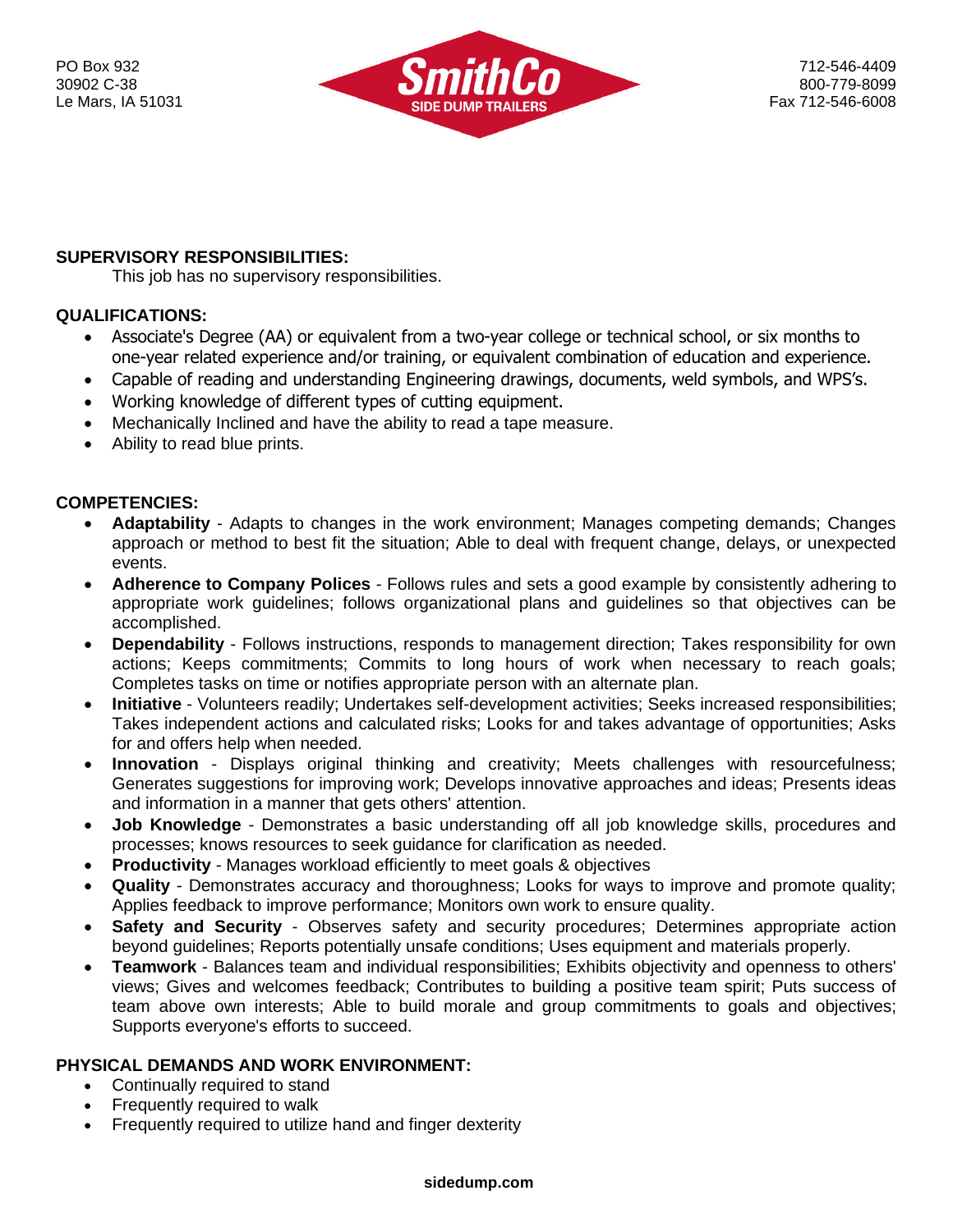

# **SUPERVISORY RESPONSIBILITIES:**

This job has no supervisory responsibilities.

# **QUALIFICATIONS:**

- Associate's Degree (AA) or equivalent from a two-year college or technical school, or six months to one-year related experience and/or training, or equivalent combination of education and experience.
- Capable of reading and understanding Engineering drawings, documents, weld symbols, and WPS's.
- Working knowledge of different types of cutting equipment.
- Mechanically Inclined and have the ability to read a tape measure.
- Ability to read blue prints.

# **COMPETENCIES:**

- **Adaptability** Adapts to changes in the work environment; Manages competing demands; Changes approach or method to best fit the situation; Able to deal with frequent change, delays, or unexpected events.
- **Adherence to Company Polices** Follows rules and sets a good example by consistently adhering to appropriate work guidelines; follows organizational plans and guidelines so that objectives can be accomplished.
- **Dependability** Follows instructions, responds to management direction; Takes responsibility for own actions; Keeps commitments; Commits to long hours of work when necessary to reach goals; Completes tasks on time or notifies appropriate person with an alternate plan.
- **Initiative** Volunteers readily; Undertakes self-development activities; Seeks increased responsibilities; Takes independent actions and calculated risks; Looks for and takes advantage of opportunities; Asks for and offers help when needed.
- **Innovation** Displays original thinking and creativity; Meets challenges with resourcefulness; Generates suggestions for improving work; Develops innovative approaches and ideas; Presents ideas and information in a manner that gets others' attention.
- **Job Knowledge**  Demonstrates a basic understanding off all job knowledge skills, procedures and processes; knows resources to seek guidance for clarification as needed.
- **Productivity**  Manages workload efficiently to meet goals & objectives
- **Quality** Demonstrates accuracy and thoroughness; Looks for ways to improve and promote quality; Applies feedback to improve performance; Monitors own work to ensure quality.
- **Safety and Security** Observes safety and security procedures; Determines appropriate action beyond guidelines; Reports potentially unsafe conditions; Uses equipment and materials properly.
- **Teamwork** Balances team and individual responsibilities; Exhibits objectivity and openness to others' views; Gives and welcomes feedback; Contributes to building a positive team spirit; Puts success of team above own interests; Able to build morale and group commitments to goals and objectives; Supports everyone's efforts to succeed.

# **PHYSICAL DEMANDS AND WORK ENVIRONMENT:**

- Continually required to stand
- Frequently required to walk
- Frequently required to utilize hand and finger dexterity